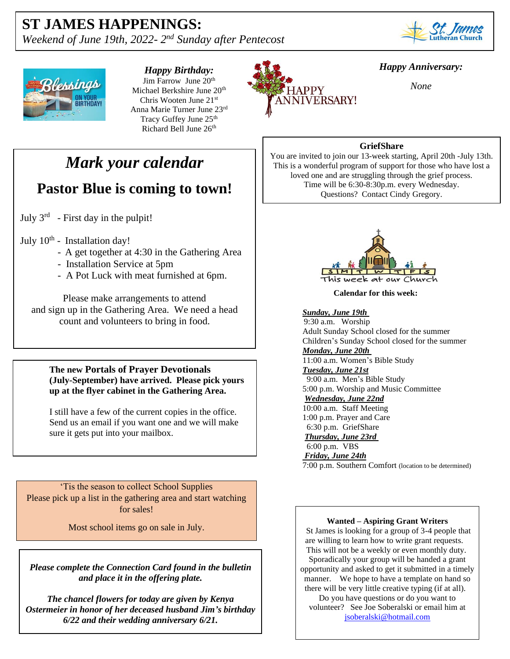## **ST JAMES HAPPENINGS:**

*Weekend of June 19th, 2022-2<sup>nd</sup> Sunday after Pentecost* 





*Happy Birthday:* Jim Farrow June 20<sup>th</sup> Michael Berkshire June 20th Chris Wooten June 21st Anna Marie Turner June 23rd Tracy Guffey June 25<sup>th</sup> Richard Bell June 26<sup>th</sup>

# *Mark your calendar*

## **Pastor Blue is coming to town!**

July  $3^{rd}$  - First day in the pulpit!

#### July  $10^{th}$  - Installation day!

- A get together at 4:30 in the Gathering Area
- Installation Service at 5pm
- A Pot Luck with meat furnished at 6pm.

Please make arrangements to attend and sign up in the Gathering Area. We need a head count and volunteers to bring in food.

**The new Portals of Prayer Devotionals (July-September) have arrived. Please pick yours up at the flyer cabinet in the Gathering Area.**

I still have a few of the current copies in the office. Send us an email if you want one and we will make sure it gets put into your mailbox.

'Tis the season to collect School Supplies Please pick up a list in the gathering area and start watching for sales!

Most school items go on sale in July.

 *Please complete the Connection Card found in the bulletin and place it in the offering plate.*

*The chancel flowers for today are given by Kenya Ostermeier in honor of her deceased husband Jim's birthday 6/22 and their wedding anniversary 6/21.*



### *Happy Anniversary:*

*None*

### **GriefShare**

You are invited to join our 13-week starting, April 20th -July 13th. This is a wonderful program of support for those who have lost a loved one and are struggling through the grief process. Time will be 6:30-8:30p.m. every Wednesday. Questions? Contact Cindy Gregory.



**Calendar for this week:**

#### *Sunday, June 19th*

 9:30 a.m. Worship Adult Sunday School closed for the summer Children's Sunday School closed for the summer *Monday, June 20th* 11:00 a.m. Women's Bible Study *Tuesday, June 21st* 9:00 a.m. Men's Bible Study 5:00 p.m. Worship and Music Committee *Wednesday, June 22nd* 10:00 a.m. Staff Meeting 1:00 p.m. Prayer and Care 6:30 p.m. GriefShare *Thursday, June 23rd* 6:00 p.m. VBS *Friday, June 24th*

7:00 p.m. Southern Comfort (location to be determined)

#### **Wanted – Aspiring Grant Writers**

St James is looking for a group of 3-4 people that are willing to learn how to write grant requests. This will not be a weekly or even monthly duty. Sporadically your group will be handed a grant opportunity and asked to get it submitted in a timely manner. We hope to have a template on hand so there will be very little creative typing (if at all).

Do you have questions or do you want to volunteer? See Joe Soberalski or email him at [jsoberalski@hotmail.com](mailto:jsoberalski@hotmail.com)